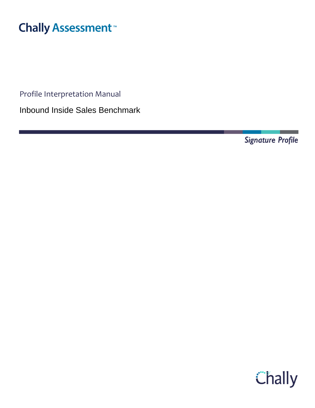# **Chally Assessment**<sup>™</sup>

Profile Interpretation Manual

Inbound Inside Sales Benchmark

Signature Profile

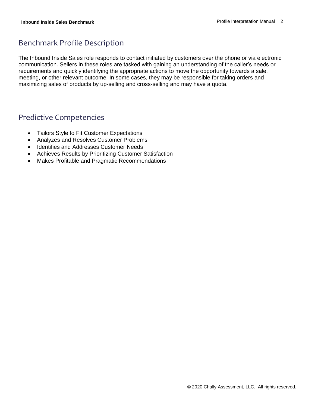# Benchmark Profile Description

The Inbound Inside Sales role responds to contact initiated by customers over the phone or via electronic communication. Sellers in these roles are tasked with gaining an understanding of the caller's needs or requirements and quickly identifying the appropriate actions to move the opportunity towards a sale, meeting, or other relevant outcome. In some cases, they may be responsible for taking orders and maximizing sales of products by up-selling and cross-selling and may have a quota.

## Predictive Competencies

- Tailors Style to Fit Customer Expectations
- Analyzes and Resolves Customer Problems
- Identifies and Addresses Customer Needs
- Achieves Results by Prioritizing Customer Satisfaction
- Makes Profitable and Pragmatic Recommendations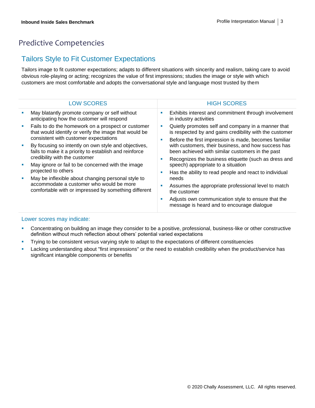# Predictive Competencies

### Tailors Style to Fit Customer Expectations

Tailors image to fit customer expectations; adapts to different situations with sincerity and realism, taking care to avoid obvious role-playing or acting; recognizes the value of first impressions; studies the image or style with which customers are most comfortable and adopts the conversational style and language most trusted by them

| <b>LOW SCORES</b>                                                                                                                                      | <b>HIGH SCORES</b>                                                                                                                                                                                                                                                                                                                                                                                                                                                                                                                                                                                                                                     |
|--------------------------------------------------------------------------------------------------------------------------------------------------------|--------------------------------------------------------------------------------------------------------------------------------------------------------------------------------------------------------------------------------------------------------------------------------------------------------------------------------------------------------------------------------------------------------------------------------------------------------------------------------------------------------------------------------------------------------------------------------------------------------------------------------------------------------|
| May blatantly promote company or self without<br>anticipating how the customer will respond                                                            | Exhibits interest and commitment through involvement<br>ш<br>in industry activities                                                                                                                                                                                                                                                                                                                                                                                                                                                                                                                                                                    |
| Fails to do the homework on a prospect or customer<br>that would identify or verify the image that would be<br>consistent with customer expectations   | Quietly promotes self and company in a manner that<br>×<br>is respected by and gains credibility with the customer<br>Before the first impression is made, becomes familiar<br>п<br>with customers, their business, and how success has<br>been achieved with similar customers in the past<br>Recognizes the business etiquette (such as dress and<br>п<br>speech) appropriate to a situation<br>Has the ability to read people and react to individual<br>п<br>needs<br>Assumes the appropriate professional level to match<br>the customer<br>Adjusts own communication style to ensure that the<br>п<br>message is heard and to encourage dialogue |
| By focusing so intently on own style and objectives,<br>fails to make it a priority to establish and reinforce<br>credibility with the customer        |                                                                                                                                                                                                                                                                                                                                                                                                                                                                                                                                                                                                                                                        |
| May ignore or fail to be concerned with the image<br>projected to others                                                                               |                                                                                                                                                                                                                                                                                                                                                                                                                                                                                                                                                                                                                                                        |
| May be inflexible about changing personal style to<br>accommodate a customer who would be more<br>comfortable with or impressed by something different |                                                                                                                                                                                                                                                                                                                                                                                                                                                                                                                                                                                                                                                        |

- **•** Concentrating on building an image they consider to be a positive, professional, business-like or other constructive definition without much reflection about others' potential varied expectations
- **•** Trying to be consistent versus varying style to adapt to the expectations of different constituencies
- Lacking understanding about "first impressions" or the need to establish credibility when the product/service has significant intangible components or benefits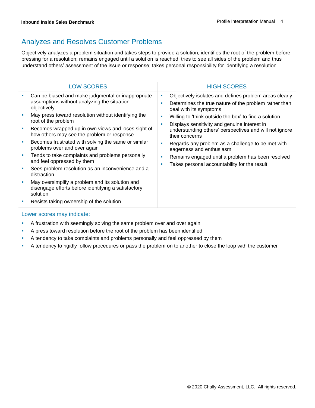# Analyzes and Resolves Customer Problems

Objectively analyzes a problem situation and takes steps to provide a solution; identifies the root of the problem before pressing for a resolution; remains engaged until a solution is reached; tries to see all sides of the problem and thus understand others' assessment of the issue or response; takes personal responsibility for identifying a resolution

| <b>LOW SCORES</b>                                                                                                                                                                                                                                                                                                                                                                                                                                                                                                                                                                                                                                                                                                 |   | <b>HIGH SCORES</b>                                                                                                                                                                                                                                                                                                                                                                                                                                                                                                   |
|-------------------------------------------------------------------------------------------------------------------------------------------------------------------------------------------------------------------------------------------------------------------------------------------------------------------------------------------------------------------------------------------------------------------------------------------------------------------------------------------------------------------------------------------------------------------------------------------------------------------------------------------------------------------------------------------------------------------|---|----------------------------------------------------------------------------------------------------------------------------------------------------------------------------------------------------------------------------------------------------------------------------------------------------------------------------------------------------------------------------------------------------------------------------------------------------------------------------------------------------------------------|
| Can be biased and make judgmental or inappropriate<br>assumptions without analyzing the situation<br>objectively<br>May press toward resolution without identifying the<br>root of the problem<br>Becomes wrapped up in own views and loses sight of<br>how others may see the problem or response<br>Becomes frustrated with solving the same or similar<br>problems over and over again<br>Tends to take complaints and problems personally<br>and feel oppressed by them<br>Sees problem resolution as an inconvenience and a<br>distraction<br>May oversimplify a problem and its solution and<br>disengage efforts before identifying a satisfactory<br>solution<br>Resists taking ownership of the solution | ш | Objectively isolates and defines problem areas clearly<br>Determines the true nature of the problem rather than<br>deal with its symptoms<br>Willing to 'think outside the box' to find a solution<br>Displays sensitivity and genuine interest in<br>understanding others' perspectives and will not ignore<br>their concerns<br>Regards any problem as a challenge to be met with<br>eagerness and enthusiasm<br>Remains engaged until a problem has been resolved<br>Takes personal accountability for the result |
|                                                                                                                                                                                                                                                                                                                                                                                                                                                                                                                                                                                                                                                                                                                   |   |                                                                                                                                                                                                                                                                                                                                                                                                                                                                                                                      |

- **•** A frustration with seemingly solving the same problem over and over again
- **•** A press toward resolution before the root of the problem has been identified
- **•** A tendency to take complaints and problems personally and feel oppressed by them
- **•** A tendency to rigidly follow procedures or pass the problem on to another to close the loop with the customer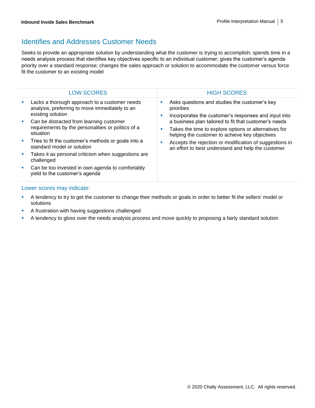### Identifies and Addresses Customer Needs

Seeks to provide an appropriate solution by understanding what the customer is trying to accomplish; spends time in a needs analysis process that identifies key objectives specific to an individual customer; gives the customer's agenda priority over a standard response; changes the sales approach or solution to accommodate the customer versus force fit the customer to an existing model

|            | <b>LOW SCORES</b>                                                                                                    |    | <b>HIGH SCORES</b>                                                                                                                                               |
|------------|----------------------------------------------------------------------------------------------------------------------|----|------------------------------------------------------------------------------------------------------------------------------------------------------------------|
| <b>SIL</b> | Lacks a thorough approach to a customer needs<br>analysis, preferring to move immediately to an<br>existing solution | ٠  | Asks questions and studies the customer's key<br>priorities<br>Incorporates the customer's responses and input into                                              |
| a.         | Can be distracted from learning customer<br>requirements by the personalities or politics of a<br>situation          | m. | a business plan tailored to fit that customer's needs<br>Takes the time to explore options or alternatives for<br>helping the customer to achieve key objectives |
| a.         | Tries to fit the customer's methods or goals into a<br>standard model or solution                                    |    | Accepts the rejection or modification of suggestions in<br>an effort to best understand and help the customer                                                    |
| and the    | Takes it as personal criticism when suggestions are<br>challenged                                                    |    |                                                                                                                                                                  |
|            | Can be too invested in own agenda to comfortably<br>yield to the customer's agenda                                   |    |                                                                                                                                                                  |

- **•** A tendency to try to get the customer to change their methods or goals in order to better fit the sellers' model or solutions
- **EXEC** A frustration with having suggestions challenged
- A tendency to gloss over the needs analysis process and move quickly to proposing a fairly standard solution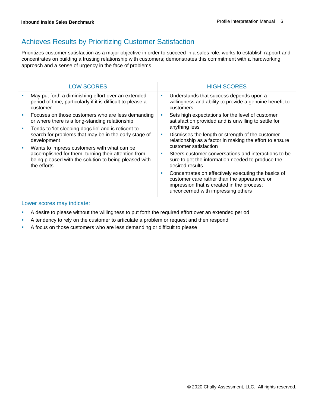# Achieves Results by Prioritizing Customer Satisfaction

Prioritizes customer satisfaction as a major objective in order to succeed in a sales role; works to establish rapport and concentrates on building a trusting relationship with customers; demonstrates this commitment with a hardworking approach and a sense of urgency in the face of problems

|  | <b>LOW SCORES</b>                                                                                                                                                          |   | <b>HIGH SCORES</b>                                                                                                                                                                     |  |
|--|----------------------------------------------------------------------------------------------------------------------------------------------------------------------------|---|----------------------------------------------------------------------------------------------------------------------------------------------------------------------------------------|--|
|  | May put forth a diminishing effort over an extended<br>period of time, particularly if it is difficult to please a<br>customer                                             | ш | Understands that success depends upon a<br>willingness and ability to provide a genuine benefit to<br>customers                                                                        |  |
|  | Focuses on those customers who are less demanding<br>or where there is a long-standing relationship                                                                        |   | Sets high expectations for the level of customer<br>satisfaction provided and is unwilling to settle for                                                                               |  |
|  | Tends to 'let sleeping dogs lie' and is reticent to<br>search for problems that may be in the early stage of<br>development                                                |   | anything less                                                                                                                                                                          |  |
|  |                                                                                                                                                                            | × | Dismisses the length or strength of the customer<br>relationship as a factor in making the effort to ensure                                                                            |  |
|  | Wants to impress customers with what can be<br>accomplished for them, turning their attention from<br>being pleased with the solution to being pleased with<br>the efforts |   | customer satisfaction                                                                                                                                                                  |  |
|  |                                                                                                                                                                            | × | Steers customer conversations and interactions to be<br>sure to get the information needed to produce the<br>desired results                                                           |  |
|  |                                                                                                                                                                            |   | Concentrates on effectively executing the basics of<br>customer care rather than the appearance or<br>impression that is created in the process;<br>unconcerned with impressing others |  |
|  | the contract of the contract of the contract of the contract of the contract of the contract of the contract of                                                            |   |                                                                                                                                                                                        |  |

- A desire to please without the willingness to put forth the required effort over an extended period
- **•** A tendency to rely on the customer to articulate a problem or request and then respond
- A focus on those customers who are less demanding or difficult to please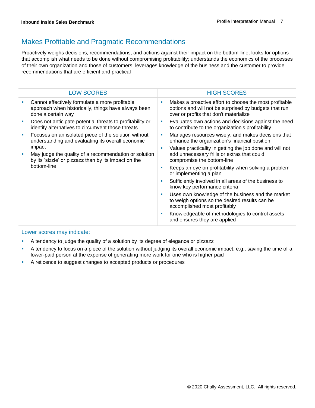# Makes Profitable and Pragmatic Recommendations

Proactively weighs decisions, recommendations, and actions against their impact on the bottom-line; looks for options that accomplish what needs to be done without compromising profitability; understands the economics of the processes of their own organization and those of customers; leverages knowledge of the business and the customer to provide recommendations that are efficient and practical

|   | <b>LOW SCORES</b>                                                                                                                      |   | <b>HIGH SCORES</b>                                                                                                                                        |
|---|----------------------------------------------------------------------------------------------------------------------------------------|---|-----------------------------------------------------------------------------------------------------------------------------------------------------------|
|   | Cannot effectively formulate a more profitable<br>approach when historically, things have always been<br>done a certain way            | × | Makes a proactive effort to choose the most profitable<br>options and will not be surprised by budgets that run<br>over or profits that don't materialize |
|   | Does not anticipate potential threats to profitability or<br>identify alternatives to circumvent those threats                         |   | Evaluates own actions and decisions against the need<br>to contribute to the organization's profitability                                                 |
|   | Focuses on an isolated piece of the solution without<br>understanding and evaluating its overall economic                              | × | Manages resources wisely, and makes decisions that<br>enhance the organization's financial position                                                       |
| ш | impact<br>May judge the quality of a recommendation or solution<br>by its 'sizzle' or pizzazz than by its impact on the<br>bottom-line | п | Values practicality in getting the job done and will not<br>add unnecessary frills or extras that could<br>compromise the bottom-line                     |
|   |                                                                                                                                        | ٠ | Keeps an eye on profitability when solving a problem<br>or implementing a plan                                                                            |
|   |                                                                                                                                        | × | Sufficiently involved in all areas of the business to<br>know key performance criteria                                                                    |
|   |                                                                                                                                        | × | Uses own knowledge of the business and the market<br>to weigh options so the desired results can be<br>accomplished most profitably                       |
|   |                                                                                                                                        | п | Knowledgeable of methodologies to control assets<br>and ensures they are applied                                                                          |
|   |                                                                                                                                        |   |                                                                                                                                                           |

- A tendency to judge the quality of a solution by its degree of elegance or pizzazz
- A tendency to focus on a piece of the solution without judging its overall economic impact, e.g., saving the time of a lower-paid person at the expense of generating more work for one who is higher paid
- A reticence to suggest changes to accepted products or procedures